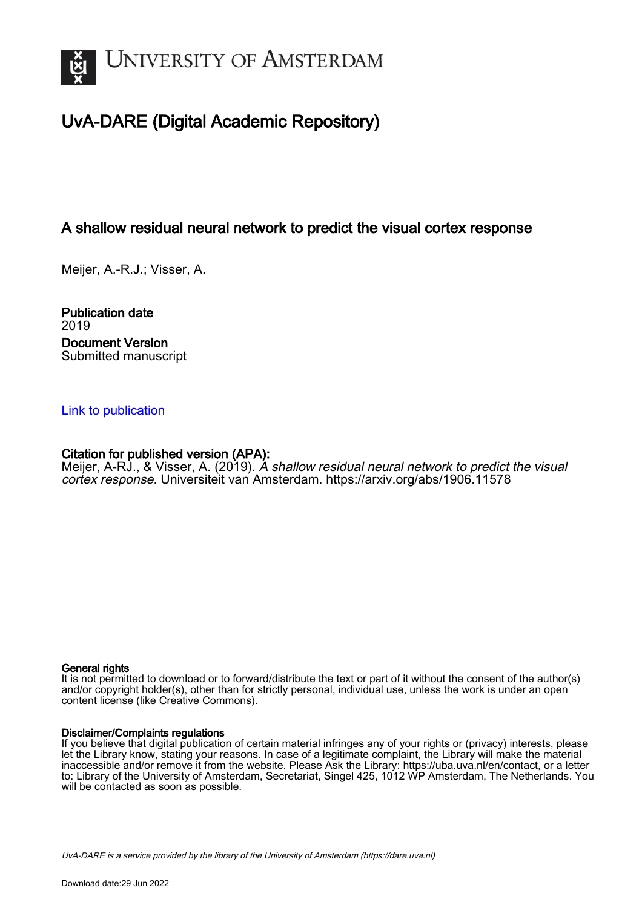

# UvA-DARE (Digital Academic Repository)

# A shallow residual neural network to predict the visual cortex response

Meijer, A.-R.J.; Visser, A.

Publication date 2019 Document Version Submitted manuscript

## [Link to publication](https://dare.uva.nl/personal/pure/en/publications/a-shallow-residual-neural-network-to-predict-the-visual-cortex-response(211edba3-f048-43a3-8ebe-e8f1da9cfe8c).html)

## Citation for published version (APA):

Meijer, A-RJ., & Visser, A. (2019). A shallow residual neural network to predict the visual cortex response. Universiteit van Amsterdam.<https://arxiv.org/abs/1906.11578>

## General rights

It is not permitted to download or to forward/distribute the text or part of it without the consent of the author(s) and/or copyright holder(s), other than for strictly personal, individual use, unless the work is under an open content license (like Creative Commons).

## Disclaimer/Complaints regulations

If you believe that digital publication of certain material infringes any of your rights or (privacy) interests, please let the Library know, stating your reasons. In case of a legitimate complaint, the Library will make the material inaccessible and/or remove it from the website. Please Ask the Library: https://uba.uva.nl/en/contact, or a letter to: Library of the University of Amsterdam, Secretariat, Singel 425, 1012 WP Amsterdam, The Netherlands. You will be contacted as soon as possible.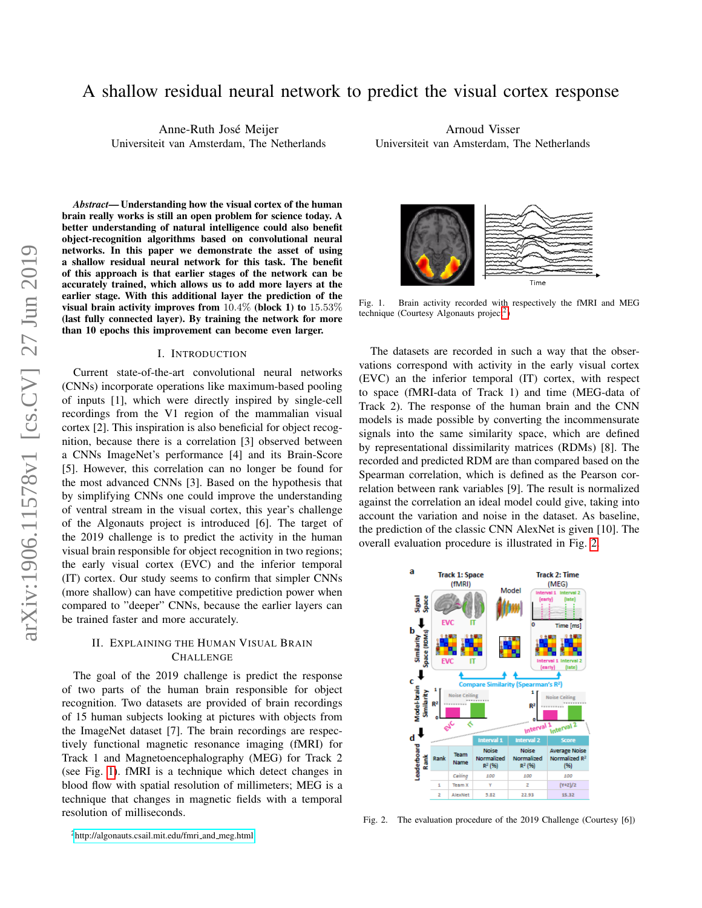# A shallow residual neural network to predict the visual cortex response

Anne-Ruth Jose Meijer ´ Universiteit van Amsterdam, The Netherlands

*Abstract*— Understanding how the visual cortex of the human brain really works is still an open problem for science today. A better understanding of natural intelligence could also benefit object-recognition algorithms based on convolutional neural networks. In this paper we demonstrate the asset of using a shallow residual neural network for this task. The benefit of this approach is that earlier stages of the network can be accurately trained, which allows us to add more layers at the earlier stage. With this additional layer the prediction of the visual brain activity improves from 10.4% (block 1) to 15.53% (last fully connected layer). By training the network for more than 10 epochs this improvement can become even larger.

### I. INTRODUCTION

Current state-of-the-art convolutional neural networks (CNNs) incorporate operations like maximum-based pooling of inputs [1], which were directly inspired by single-cell recordings from the V1 region of the mammalian visual cortex [2]. This inspiration is also beneficial for object recognition, because there is a correlation [3] observed between a CNNs ImageNet's performance [4] and its Brain-Score [5]. However, this correlation can no longer be found for the most advanced CNNs [3]. Based on the hypothesis that by simplifying CNNs one could improve the understanding of ventral stream in the visual cortex, this year's challenge of the Algonauts project is introduced [6]. The target of the 2019 challenge is to predict the activity in the human visual brain responsible for object recognition in two regions; the early visual cortex (EVC) and the inferior temporal (IT) cortex. Our study seems to confirm that simpler CNNs (more shallow) can have competitive prediction power when compared to "deeper" CNNs, because the earlier layers can be trained faster and more accurately.

## II. EXPLAINING THE HUMAN VISUAL BRAIN **CHALLENGE**

The goal of the 2019 challenge is predict the response of two parts of the human brain responsible for object recognition. Two datasets are provided of brain recordings of 15 human subjects looking at pictures with objects from the ImageNet dataset [7]. The brain recordings are respectively functional magnetic resonance imaging (fMRI) for Track 1 and Magnetoencephalography (MEG) for Track 2 (see Fig. [1\)](#page-1-0). fMRI is a technique which detect changes in blood flow with spatial resolution of millimeters; MEG is a technique that changes in magnetic fields with a temporal resolution of milliseconds.

Arnoud Visser Universiteit van Amsterdam, The Netherlands



Fig. 1. Brain activity recorded with respectively the fMRI and MEG technique (Courtesy Algonauts project<sup>[2](#page-1-1)</sup>)

<span id="page-1-0"></span>The datasets are recorded in such a way that the observations correspond with activity in the early visual cortex (EVC) an the inferior temporal (IT) cortex, with respect to space (fMRI-data of Track 1) and time (MEG-data of Track 2). The response of the human brain and the CNN models is made possible by converting the incommensurate signals into the same similarity space, which are defined by representational dissimilarity matrices (RDMs) [8]. The recorded and predicted RDM are than compared based on the Spearman correlation, which is defined as the Pearson correlation between rank variables [9]. The result is normalized against the correlation an ideal model could give, taking into account the variation and noise in the dataset. As baseline, the prediction of the classic CNN AlexNet is given [10]. The overall evaluation procedure is illustrated in Fig. [2.](#page-1-2)



<span id="page-1-2"></span>Fig. 2. The evaluation procedure of the 2019 Challenge (Courtesy [6])

<span id="page-1-1"></span> ${}^{2}$ [http://algonauts.csail.mit.edu/fmri](http://algonauts.csail.mit.edu/fmri_and_meg.html)\_and\_meg.html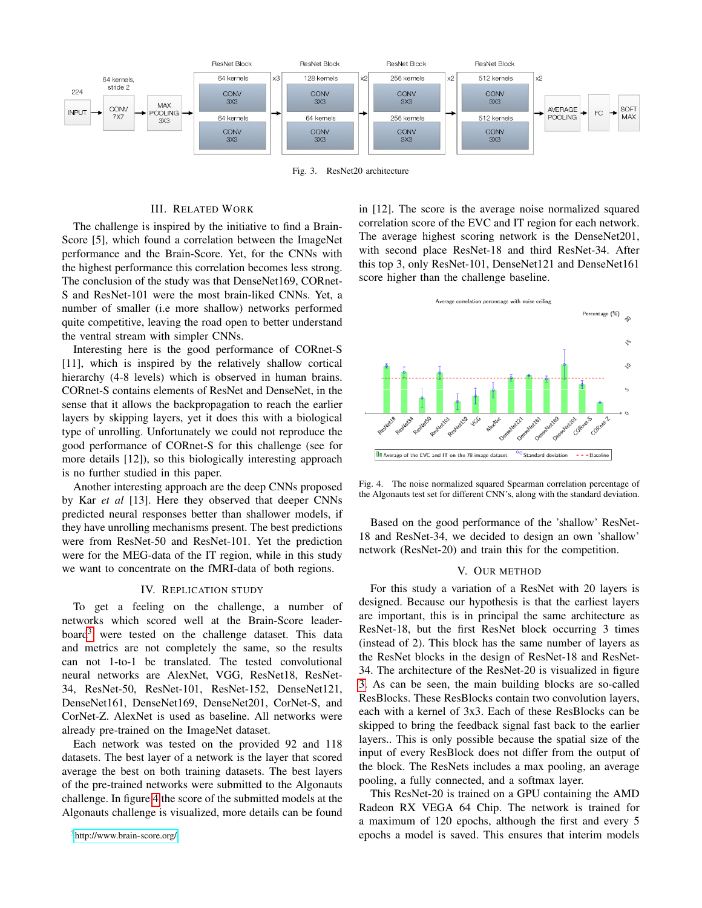

<span id="page-2-2"></span>Fig. 3. ResNet20 architecture

## III. RELATED WORK

The challenge is inspired by the initiative to find a Brain-Score [5], which found a correlation between the ImageNet performance and the Brain-Score. Yet, for the CNNs with the highest performance this correlation becomes less strong. The conclusion of the study was that DenseNet169, CORnet-S and ResNet-101 were the most brain-liked CNNs. Yet, a number of smaller (i.e more shallow) networks performed quite competitive, leaving the road open to better understand the ventral stream with simpler CNNs.

Interesting here is the good performance of CORnet-S [11], which is inspired by the relatively shallow cortical hierarchy (4-8 levels) which is observed in human brains. CORnet-S contains elements of ResNet and DenseNet, in the sense that it allows the backpropagation to reach the earlier layers by skipping layers, yet it does this with a biological type of unrolling. Unfortunately we could not reproduce the good performance of CORnet-S for this challenge (see for more details [12]), so this biologically interesting approach is no further studied in this paper.

Another interesting approach are the deep CNNs proposed by Kar *et al* [13]. Here they observed that deeper CNNs predicted neural responses better than shallower models, if they have unrolling mechanisms present. The best predictions were from ResNet-50 and ResNet-101. Yet the prediction were for the MEG-data of the IT region, while in this study we want to concentrate on the fMRI-data of both regions.

#### IV. REPLICATION STUDY

To get a feeling on the challenge, a number of networks which scored well at the Brain-Score leader- $board<sup>3</sup>$  $board<sup>3</sup>$  $board<sup>3</sup>$  were tested on the challenge dataset. This data and metrics are not completely the same, so the results can not 1-to-1 be translated. The tested convolutional neural networks are AlexNet, VGG, ResNet18, ResNet-34, ResNet-50, ResNet-101, ResNet-152, DenseNet121, DenseNet161, DenseNet169, DenseNet201, CorNet-S, and CorNet-Z. AlexNet is used as baseline. All networks were already pre-trained on the ImageNet dataset.

Each network was tested on the provided 92 and 118 datasets. The best layer of a network is the layer that scored average the best on both training datasets. The best layers of the pre-trained networks were submitted to the Algonauts challenge. In figure [4](#page-2-1) the score of the submitted models at the Algonauts challenge is visualized, more details can be found

<span id="page-2-0"></span><sup>3</sup><http://www.brain-score.org/>

in [12]. The score is the average noise normalized squared correlation score of the EVC and IT region for each network. The average highest scoring network is the DenseNet201, with second place ResNet-18 and third ResNet-34. After this top 3, only ResNet-101, DenseNet121 and DenseNet161 score higher than the challenge baseline.



<span id="page-2-1"></span>Fig. 4. The noise normalized squared Spearman correlation percentage of the Algonauts test set for different CNN's, along with the standard deviation.

Based on the good performance of the 'shallow' ResNet-18 and ResNet-34, we decided to design an own 'shallow' network (ResNet-20) and train this for the competition.

#### V. OUR METHOD

For this study a variation of a ResNet with 20 layers is designed. Because our hypothesis is that the earliest layers are important, this is in principal the same architecture as ResNet-18, but the first ResNet block occurring 3 times (instead of 2). This block has the same number of layers as the ResNet blocks in the design of ResNet-18 and ResNet-34. The architecture of the ResNet-20 is visualized in figure [3.](#page-2-2) As can be seen, the main building blocks are so-called ResBlocks. These ResBlocks contain two convolution layers, each with a kernel of 3x3. Each of these ResBlocks can be skipped to bring the feedback signal fast back to the earlier layers.. This is only possible because the spatial size of the input of every ResBlock does not differ from the output of the block. The ResNets includes a max pooling, an average pooling, a fully connected, and a softmax layer.

This ResNet-20 is trained on a GPU containing the AMD Radeon RX VEGA 64 Chip. The network is trained for a maximum of 120 epochs, although the first and every 5 epochs a model is saved. This ensures that interim models